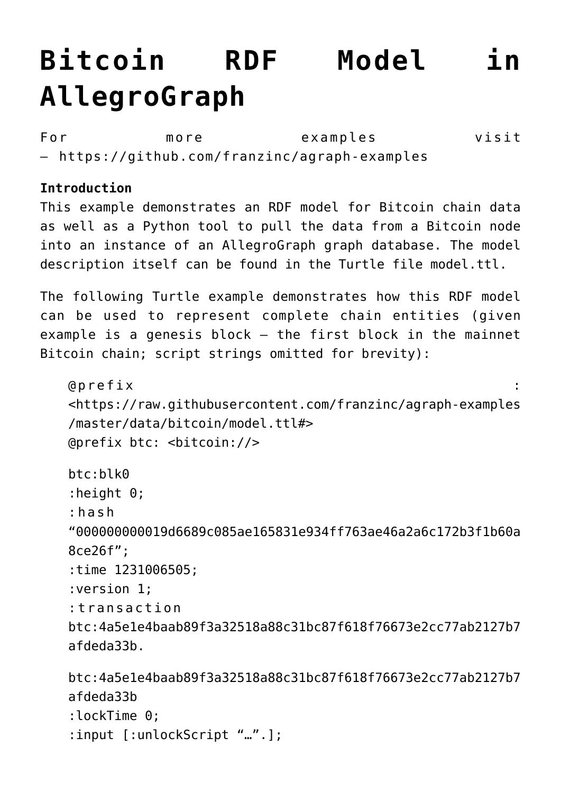## **[Bitcoin RDF Model in](https://allegrograph.com/bitcoin-rdf-model-in-allegrograph/) [AllegroGraph](https://allegrograph.com/bitcoin-rdf-model-in-allegrograph/)**

For more examples visit – <https://github.com/franzinc/agraph-examples>

## **Introduction**

This example demonstrates an RDF model for Bitcoin chain data as well as a Python tool to pull the data from a Bitcoin node into an instance of an AllegroGraph graph database. The model description itself can be found in the Turtle file model.ttl.

The following Turtle example demonstrates how this RDF model can be used to represent complete chain entities (given example is a genesis block – the first block in the mainnet Bitcoin chain; script strings omitted for brevity):

```
@prefix :
<https://raw.githubusercontent.com/franzinc/agraph-examples
/master/data/bitcoin/model.ttl#>
@prefix btc: <bitcoin://>
btc:blk0
:height 0;
:hash
"000000000019d6689c085ae165831e934ff763ae46a2a6c172b3f1b60a
8ce26f";
:time 1231006505;
:version 1;
:transaction
btc:4a5e1e4baab89f3a32518a88c31bc87f618f76673e2cc77ab2127b7
afdeda33b.
btc:4a5e1e4baab89f3a32518a88c31bc87f618f76673e2cc77ab2127b7
afdeda33b
```

```
:lockTime 0;
:input [:unlockScript "…".];
```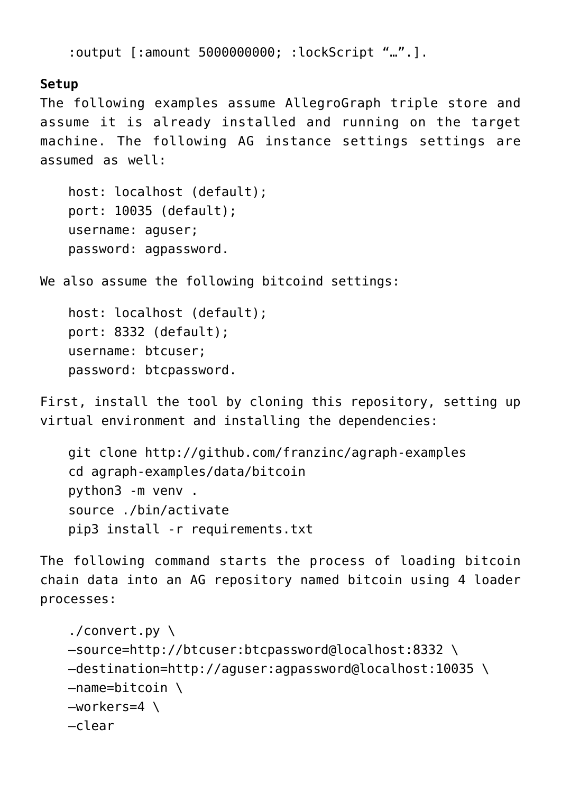```
:output [:amount 5000000000; :lockScript "…".].
```
## **Setup**

The following examples assume AllegroGraph triple store and assume it is already installed and running on the target machine. The following AG instance settings settings are assumed as well:

```
host: localhost (default);
port: 10035 (default);
username: aguser;
password: agpassword.
```
We also assume the following bitcoind settings:

```
host: localhost (default);
port: 8332 (default);
username: btcuser;
password: btcpassword.
```
First, install the tool by cloning this repository, setting up virtual environment and installing the dependencies:

```
git clone http://github.com/franzinc/agraph-examples
cd agraph-examples/data/bitcoin
python3 -m venv .
source ./bin/activate
pip3 install -r requirements.txt
```
The following command starts the process of loading bitcoin chain data into an AG repository named bitcoin using 4 loader processes:

```
./convert.py \
–source=http://btcuser:btcpassword@localhost:8332 \
–destination=http://aguser:agpassword@localhost:10035 \
-name=bitcoin \
–workers=4 \
–clear
```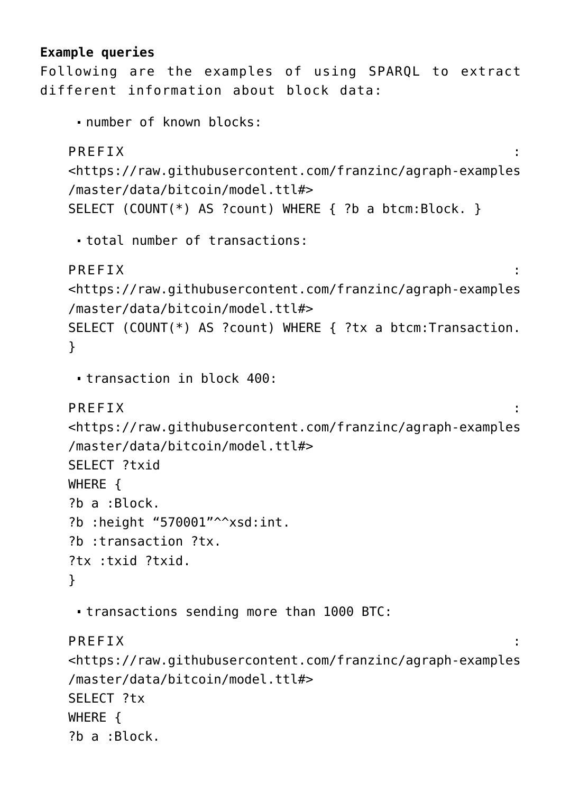## **Example queries**

Following are the examples of using SPARQL to extract different information about block data:

```
number of known blocks:
```

```
PREFIX :
<https://raw.githubusercontent.com/franzinc/agraph-examples
/master/data/bitcoin/model.ttl#>
SELECT (COUNT(*) AS ?count) WHERE { ?b a btcm:Block. }
total number of transactions:
PREFIX :
<https://raw.githubusercontent.com/franzinc/agraph-examples
/master/data/bitcoin/model.ttl#>
SELECT (COUNT(*) AS ?count) WHERE { ?tx a btcm:Transaction.
}
```

```
transaction in block 400:
```

```
PREFIX \qquad \qquad \vdots
```

```
<https://raw.githubusercontent.com/franzinc/agraph-examples
/master/data/bitcoin/model.ttl#>
SELECT ?txid
WHERE {
?b a :Block.
?b : height "570001"^^xsd: int.
?b :transaction ?tx.
?tx :txid ?txid.
}
```
transactions sending more than 1000 BTC:

```
PREFIX :
```

```
<https://raw.githubusercontent.com/franzinc/agraph-examples
/master/data/bitcoin/model.ttl#>
SELECT ?tx
WHERE {
?b a :Block.
```